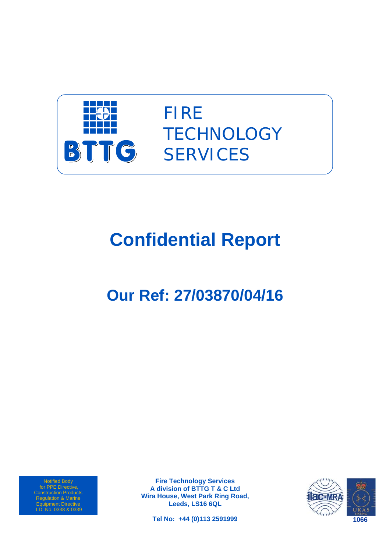

FIRE **TECHNOLOGY SERVICES** 

# **Confidential Report**

# **Our Ref: 27/03870/04/16**

Notified Body for PPE Directive, Regulation & Marine Equipment Directive I.D. No. 0338 & 0339

**Fire Technology Services A division of BTTG T & C Ltd Wira House, West Park Ring Road, Leeds, LS16 6QL** 

**Tel No: +44 (0)113 2591999** 

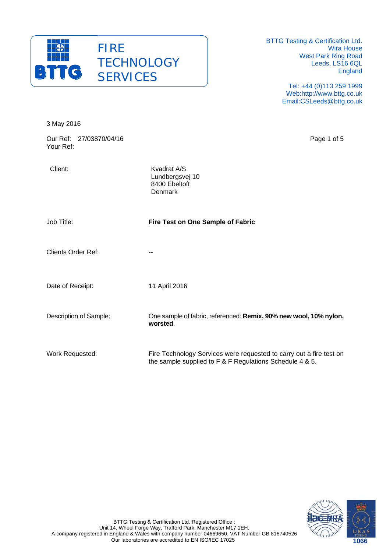

> Tel: +44 (0)113 259 1999 Web:http://www.bttg.co.uk Email:CSLeeds@bttg.co.uk

| 3 May 2016                           |                                                                                                                                 |
|--------------------------------------|---------------------------------------------------------------------------------------------------------------------------------|
| Our Ref: 27/03870/04/16<br>Your Ref: | Page 1 of 5                                                                                                                     |
| Client:                              | Kvadrat A/S<br>Lundbergsvej 10<br>8400 Ebeltoft<br><b>Denmark</b>                                                               |
| Job Title:                           | Fire Test on One Sample of Fabric                                                                                               |
| <b>Clients Order Ref:</b>            | $-$                                                                                                                             |
| Date of Receipt:                     | 11 April 2016                                                                                                                   |
| Description of Sample:               | One sample of fabric, referenced: Remix, 90% new wool, 10% nylon,<br>worsted.                                                   |
| Work Requested:                      | Fire Technology Services were requested to carry out a fire test on<br>the sample supplied to F & F Regulations Schedule 4 & 5. |

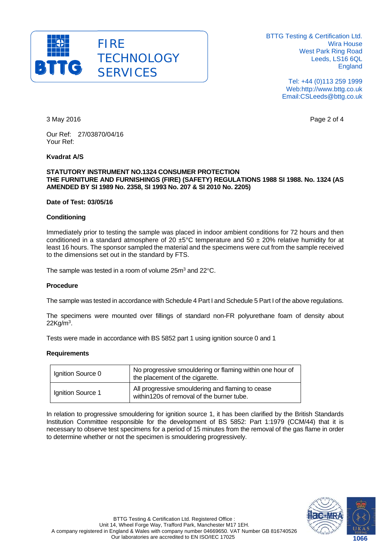

> Tel: +44 (0)113 259 1999 Web:http://www.bttg.co.uk Email:CSLeeds@bttg.co.uk

3 May 2016 Page 2 of 4

Our Ref: 27/03870/04/16 Your Ref:

## **Kvadrat A/S**

#### **STATUTORY INSTRUMENT NO.1324 CONSUMER PROTECTION THE FURNITURE AND FURNISHINGS (FIRE) (SAFETY) REGULATIONS 1988 SI 1988. No. 1324 (AS AMENDED BY SI 1989 No. 2358, SI 1993 No. 207 & SI 2010 No. 2205)**

## **Date of Test: 03/05/16**

#### **Conditioning**

Immediately prior to testing the sample was placed in indoor ambient conditions for 72 hours and then conditioned in a standard atmosphere of 20  $\pm$ 5°C temperature and 50  $\pm$  20% relative humidity for at least 16 hours. The sponsor sampled the material and the specimens were cut from the sample received to the dimensions set out in the standard by FTS.

The sample was tested in a room of volume  $25m^3$  and  $22°C$ .

#### **Procedure**

The sample was tested in accordance with Schedule 4 Part I and Schedule 5 Part I of the above regulations.

The specimens were mounted over fillings of standard non-FR polyurethane foam of density about  $22$ Ka/m<sup>3</sup>.

Tests were made in accordance with BS 5852 part 1 using ignition source 0 and 1

#### **Requirements**

| Ignition Source 0 | No progressive smouldering or flaming within one hour of<br>the placement of the cigarette.   |
|-------------------|-----------------------------------------------------------------------------------------------|
| Ignition Source 1 | All progressive smouldering and flaming to cease<br>within120s of removal of the burner tube. |

In relation to progressive smouldering for ignition source 1, it has been clarified by the British Standards Institution Committee responsible for the development of BS 5852: Part 1:1979 (CCM/44) that it is necessary to observe test specimens for a period of 15 minutes from the removal of the gas flame in order to determine whether or not the specimen is smouldering progressively.

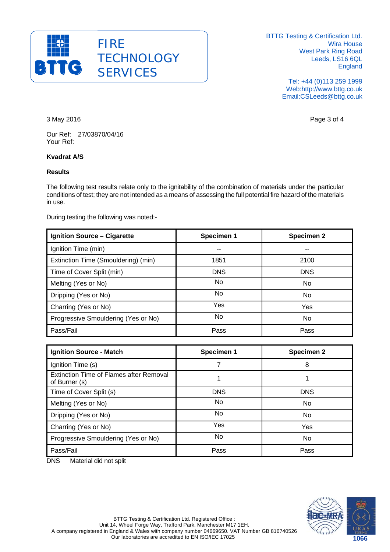

> Tel: +44 (0)113 259 1999 Web:http://www.bttg.co.uk Email:CSLeeds@bttg.co.uk

3 May 2016 Page 3 of 4

Our Ref: 27/03870/04/16 Your Ref:

# **Kvadrat A/S**

## **Results**

The following test results relate only to the ignitability of the combination of materials under the particular conditions of test; they are not intended as a means of assessing the full potential fire hazard of the materials in use.

During testing the following was noted:-

| <b>Ignition Source - Cigarette</b>  | <b>Specimen 1</b> | <b>Specimen 2</b> |
|-------------------------------------|-------------------|-------------------|
| Ignition Time (min)                 | --                |                   |
| Extinction Time (Smouldering) (min) | 1851              | 2100              |
| Time of Cover Split (min)           | <b>DNS</b>        | <b>DNS</b>        |
| Melting (Yes or No)                 | No.               | No.               |
| Dripping (Yes or No)                | No.               | No.               |
| Charring (Yes or No)                | Yes               | Yes               |
| Progressive Smouldering (Yes or No) | No.               | No.               |
| Pass/Fail                           | Pass              | Pass              |

| <b>Ignition Source - Match</b>                           | Specimen 1 | <b>Specimen 2</b> |
|----------------------------------------------------------|------------|-------------------|
| Ignition Time (s)                                        |            | 8                 |
| Extinction Time of Flames after Removal<br>of Burner (s) |            |                   |
| Time of Cover Split (s)                                  | <b>DNS</b> | <b>DNS</b>        |
| Melting (Yes or No)                                      | No.        | No.               |
| Dripping (Yes or No)                                     | No.        | No.               |
| Charring (Yes or No)                                     | Yes        | Yes               |
| Progressive Smouldering (Yes or No)                      | No         | No.               |
| Pass/Fail                                                | Pass       | Pass              |

DNS Material did not split

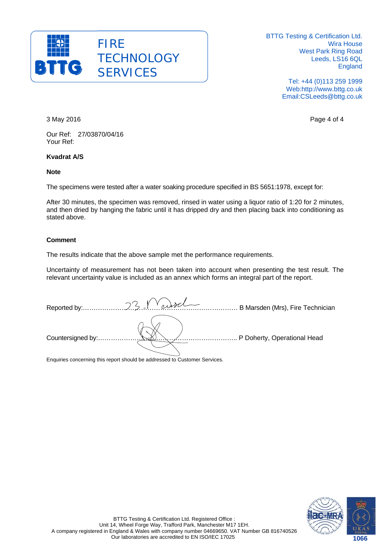

> Tel: +44 (0)113 259 1999 Web:http://www.bttg.co.uk Email:CSLeeds@bttg.co.uk

3 May 2016 **Page 4 of 4** 

Our Ref: 27/03870/04/16 Your Ref:

# **Kvadrat A/S**

#### **Note**

The specimens were tested after a water soaking procedure specified in BS 5651:1978, except for:

After 30 minutes, the specimen was removed, rinsed in water using a liquor ratio of 1:20 for 2 minutes, and then dried by hanging the fabric until it has dripped dry and then placing back into conditioning as stated above.

#### **Comment**

The results indicate that the above sample met the performance requirements.

Uncertainty of measurement has not been taken into account when presenting the test result. The relevant uncertainty value is included as an annex which forms an integral part of the report.

|  | B Marsden (Mrs), Fire Technician |
|--|----------------------------------|
|  | P Doherty, Operational Head      |

Enquiries concerning this report should be addressed to Customer Services.